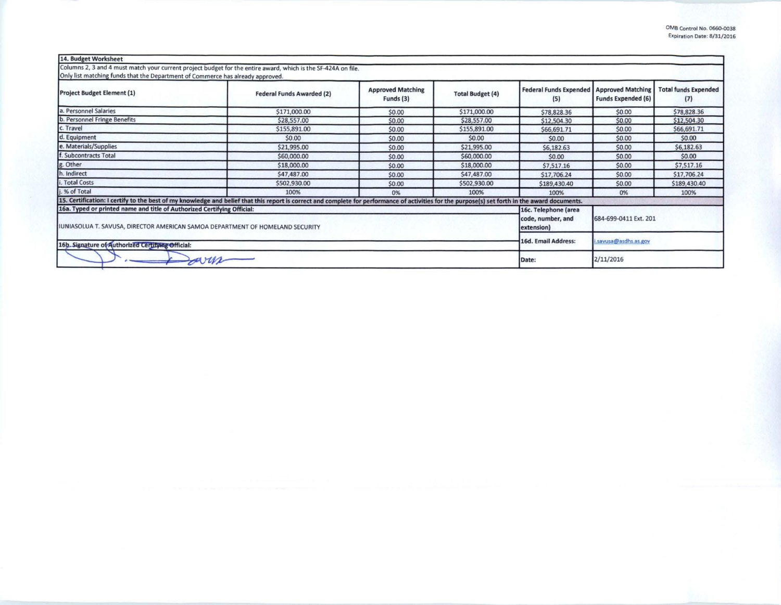| 14. Budget Worksheet                                                                                                                                     |                                                                                                                                                                                                 |                                       |                         |                                      |                                                       |                                    |
|----------------------------------------------------------------------------------------------------------------------------------------------------------|-------------------------------------------------------------------------------------------------------------------------------------------------------------------------------------------------|---------------------------------------|-------------------------|--------------------------------------|-------------------------------------------------------|------------------------------------|
| Only list matching funds that the Department of Commerce has already approved.                                                                           | Columns 2, 3 and 4 must match your current project budget for the entire award, which is the SF-424A on file.                                                                                   |                                       |                         |                                      |                                                       |                                    |
| <b>Project Budget Element (1)</b>                                                                                                                        | <b>Federal Funds Awarded (2)</b>                                                                                                                                                                | <b>Approved Matching</b><br>Funds (3) | <b>Total Budget (4)</b> | <b>Federal Funds Expended</b><br>(5) | <b>Approved Matching</b><br><b>Funds Expended (6)</b> | <b>Total funds Expended</b><br>(7) |
| a. Personnel Salaries                                                                                                                                    | \$171,000.00                                                                                                                                                                                    | \$0.00                                | \$171,000.00            | \$78,828.36                          | \$0.00                                                | \$78,828.36                        |
| b. Personnel Fringe Benefits                                                                                                                             | \$28,557.00                                                                                                                                                                                     | \$0.00                                | \$28,557.00             | \$12,504.30                          | \$0.00                                                | \$12,504.30                        |
| c. Travel                                                                                                                                                | \$155,891.00                                                                                                                                                                                    | \$0.00                                | \$155,891.00            | \$66,691.71                          | \$0.00                                                | \$66,691.71                        |
| d. Equipment                                                                                                                                             | \$0.00                                                                                                                                                                                          | \$0.00                                | \$0.00                  | \$0.00                               | \$0.00                                                | \$0.00                             |
| e. Materials/Supplies                                                                                                                                    | \$21,995.00                                                                                                                                                                                     | \$0.00                                | \$21,995.00             | \$6,182.63                           | \$0.00                                                | \$6,182.63                         |
| f. Subcontracts Total                                                                                                                                    | \$60,000.00                                                                                                                                                                                     | \$0.00                                | \$60,000.00             | \$0.00                               | \$0.00                                                | \$0.00                             |
| g. Other                                                                                                                                                 | \$18,000.00                                                                                                                                                                                     | \$0.00                                | \$18,000.00             | \$7,517.16                           | \$0.00                                                | \$7,517.16                         |
| h. Indirect                                                                                                                                              | \$47,487.00                                                                                                                                                                                     | \$0.00                                | \$47,487.00             | \$17,706.24                          | \$0.00                                                | \$17,706.24                        |
| i. Total Costs                                                                                                                                           | \$502,930.00                                                                                                                                                                                    | \$0.00                                | \$502,930.00            | \$189,430.40                         | \$0.00                                                | \$189,430.40                       |
| i. % of Total                                                                                                                                            | 100%<br>100%<br>0%                                                                                                                                                                              |                                       |                         |                                      | 0%                                                    | 100%                               |
|                                                                                                                                                          | 15. Certification: I certify to the best of my knowledge and belief that this report is correct and complete for performance of activities for the purpose(s) set forth in the award documents. |                                       |                         |                                      |                                                       |                                    |
| 16a. Typed or printed name and title of Authorized Certifying Official:<br>IUNIASOLUA T. SAVUSA, DIRECTOR AMERICAN SAMOA DEPARTMENT OF HOMELAND SECURITY | 16c. Telephone (area<br>code, number, and<br>extension)                                                                                                                                         | 684-699-0411 Ext. 201                 |                         |                                      |                                                       |                                    |
| 16b. Signature of Authorized Certifying Official:                                                                                                        | 16d. Email Address:                                                                                                                                                                             | .savusa@asdhs.as.gov                  |                         |                                      |                                                       |                                    |
| sarin                                                                                                                                                    | Date:                                                                                                                                                                                           | 2/11/2016                             |                         |                                      |                                                       |                                    |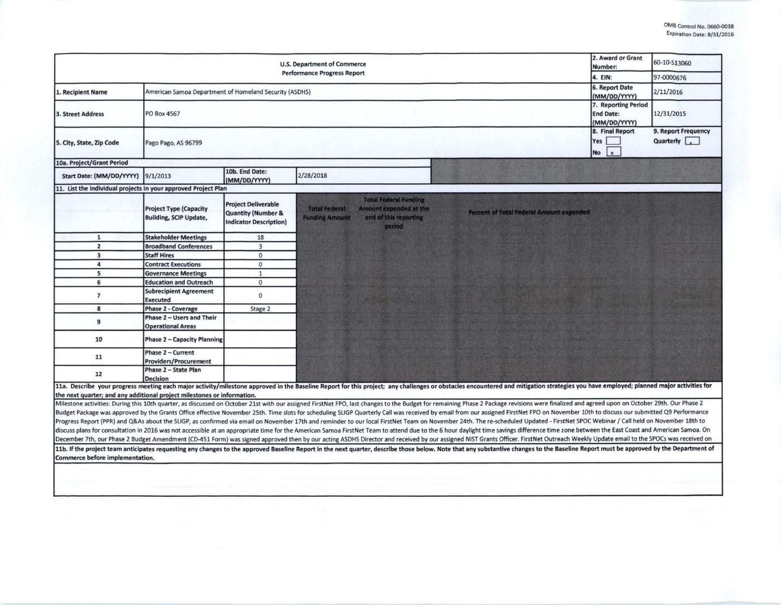| <b>U.S. Department of Commerce</b><br><b>Performance Progress Report</b> |                                                                |                                                                                              |                                                                                                                                            |                                                                                                                                                                                                                                                                                                                                                                                                                                                                                                                                                                                                                                                                                                                                                                                                                                                                                                                                                                                                                                                                                                                                                                        | 2. Award or Grant<br>Number:                            | 60-10-513060                                             |
|--------------------------------------------------------------------------|----------------------------------------------------------------|----------------------------------------------------------------------------------------------|--------------------------------------------------------------------------------------------------------------------------------------------|------------------------------------------------------------------------------------------------------------------------------------------------------------------------------------------------------------------------------------------------------------------------------------------------------------------------------------------------------------------------------------------------------------------------------------------------------------------------------------------------------------------------------------------------------------------------------------------------------------------------------------------------------------------------------------------------------------------------------------------------------------------------------------------------------------------------------------------------------------------------------------------------------------------------------------------------------------------------------------------------------------------------------------------------------------------------------------------------------------------------------------------------------------------------|---------------------------------------------------------|----------------------------------------------------------|
|                                                                          |                                                                |                                                                                              |                                                                                                                                            |                                                                                                                                                                                                                                                                                                                                                                                                                                                                                                                                                                                                                                                                                                                                                                                                                                                                                                                                                                                                                                                                                                                                                                        | 4. EIN:                                                 | 97-0000676                                               |
| 1. Recipient Name                                                        | American Samoa Department of Homeland Security (ASDHS)         |                                                                                              |                                                                                                                                            |                                                                                                                                                                                                                                                                                                                                                                                                                                                                                                                                                                                                                                                                                                                                                                                                                                                                                                                                                                                                                                                                                                                                                                        | 6. Report Date<br>(MM/DD/YYYY)                          | 2/11/2016                                                |
| <b>3. Street Address</b>                                                 | PO Box 4567                                                    |                                                                                              |                                                                                                                                            |                                                                                                                                                                                                                                                                                                                                                                                                                                                                                                                                                                                                                                                                                                                                                                                                                                                                                                                                                                                                                                                                                                                                                                        | 7. Reporting Period<br><b>End Date:</b><br>(MM/DD/YYYY) | 12/31/2015                                               |
| 5. City, State, Zip Code                                                 | Pago Pago, AS 96799                                            |                                                                                              |                                                                                                                                            |                                                                                                                                                                                                                                                                                                                                                                                                                                                                                                                                                                                                                                                                                                                                                                                                                                                                                                                                                                                                                                                                                                                                                                        | 8. Final Report<br>Yes<br><b>No</b><br>$\mathbf{x}$     | 9. Report Frequency<br>Quarterly $\vert$ $\vert$ $\vert$ |
| 10a. Project/Grant Period                                                |                                                                |                                                                                              |                                                                                                                                            |                                                                                                                                                                                                                                                                                                                                                                                                                                                                                                                                                                                                                                                                                                                                                                                                                                                                                                                                                                                                                                                                                                                                                                        |                                                         |                                                          |
| Start Date: (MM/DD/YYYY)                                                 | 9/1/2013                                                       | 10b. End Date:<br>(MM/DD/YYYY)                                                               | 2/28/2018                                                                                                                                  |                                                                                                                                                                                                                                                                                                                                                                                                                                                                                                                                                                                                                                                                                                                                                                                                                                                                                                                                                                                                                                                                                                                                                                        |                                                         |                                                          |
| 11. List the individual projects in your approved Project Plan           |                                                                |                                                                                              |                                                                                                                                            |                                                                                                                                                                                                                                                                                                                                                                                                                                                                                                                                                                                                                                                                                                                                                                                                                                                                                                                                                                                                                                                                                                                                                                        |                                                         |                                                          |
|                                                                          | <b>Project Type (Capacity</b><br><b>Building, SCIP Update,</b> | <b>Project Deliverable</b><br><b>Quantity (Number &amp;</b><br><b>Indicator Description)</b> | <b>Total Federal Funding</b><br><b>Total Federal</b><br>Amount expended at the<br><b>Funding Amount</b><br>end of this reporting<br>period | <b>Percent of Total Federal Amount expended</b>                                                                                                                                                                                                                                                                                                                                                                                                                                                                                                                                                                                                                                                                                                                                                                                                                                                                                                                                                                                                                                                                                                                        |                                                         |                                                          |
| $\mathbf{1}$                                                             | <b>Stakeholder Meetings</b>                                    | 18                                                                                           |                                                                                                                                            |                                                                                                                                                                                                                                                                                                                                                                                                                                                                                                                                                                                                                                                                                                                                                                                                                                                                                                                                                                                                                                                                                                                                                                        |                                                         |                                                          |
| $\overline{2}$                                                           | <b>Broadband Conferences</b>                                   | $\overline{3}$                                                                               |                                                                                                                                            |                                                                                                                                                                                                                                                                                                                                                                                                                                                                                                                                                                                                                                                                                                                                                                                                                                                                                                                                                                                                                                                                                                                                                                        |                                                         |                                                          |
| $\overline{\mathbf{3}}$                                                  | <b>Staff Hires</b>                                             | $\mathbf{0}$                                                                                 |                                                                                                                                            |                                                                                                                                                                                                                                                                                                                                                                                                                                                                                                                                                                                                                                                                                                                                                                                                                                                                                                                                                                                                                                                                                                                                                                        |                                                         |                                                          |
| 4                                                                        | <b>Contract Executions</b>                                     | $\mathbf{0}$                                                                                 |                                                                                                                                            |                                                                                                                                                                                                                                                                                                                                                                                                                                                                                                                                                                                                                                                                                                                                                                                                                                                                                                                                                                                                                                                                                                                                                                        |                                                         |                                                          |
| 5                                                                        | <b>Governance Meetings</b>                                     | $\mathbf{1}$                                                                                 |                                                                                                                                            |                                                                                                                                                                                                                                                                                                                                                                                                                                                                                                                                                                                                                                                                                                                                                                                                                                                                                                                                                                                                                                                                                                                                                                        |                                                         |                                                          |
| 6                                                                        | <b>Education and Outreach</b>                                  | $\mathbf{0}$                                                                                 |                                                                                                                                            |                                                                                                                                                                                                                                                                                                                                                                                                                                                                                                                                                                                                                                                                                                                                                                                                                                                                                                                                                                                                                                                                                                                                                                        |                                                         |                                                          |
| $\overline{7}$                                                           | <b>Subrecipient Agreement</b><br><b>Executed</b>               | $\mathbf{0}$                                                                                 |                                                                                                                                            |                                                                                                                                                                                                                                                                                                                                                                                                                                                                                                                                                                                                                                                                                                                                                                                                                                                                                                                                                                                                                                                                                                                                                                        |                                                         |                                                          |
| 8                                                                        | <b>Phase 2 - Coverage</b>                                      | Stage 2                                                                                      |                                                                                                                                            |                                                                                                                                                                                                                                                                                                                                                                                                                                                                                                                                                                                                                                                                                                                                                                                                                                                                                                                                                                                                                                                                                                                                                                        |                                                         |                                                          |
| $\overline{9}$                                                           | Phase 2 - Users and Their<br><b>Operational Areas</b>          |                                                                                              |                                                                                                                                            |                                                                                                                                                                                                                                                                                                                                                                                                                                                                                                                                                                                                                                                                                                                                                                                                                                                                                                                                                                                                                                                                                                                                                                        |                                                         |                                                          |
| 10                                                                       | <b>Phase 2 - Capacity Planning</b>                             |                                                                                              |                                                                                                                                            |                                                                                                                                                                                                                                                                                                                                                                                                                                                                                                                                                                                                                                                                                                                                                                                                                                                                                                                                                                                                                                                                                                                                                                        |                                                         |                                                          |
| 11                                                                       | Phase 2 - Current<br><b>Providers/Procurement</b>              |                                                                                              |                                                                                                                                            |                                                                                                                                                                                                                                                                                                                                                                                                                                                                                                                                                                                                                                                                                                                                                                                                                                                                                                                                                                                                                                                                                                                                                                        |                                                         |                                                          |
| 12                                                                       | Phase 2 - State Plan<br><b>Decision</b>                        |                                                                                              |                                                                                                                                            |                                                                                                                                                                                                                                                                                                                                                                                                                                                                                                                                                                                                                                                                                                                                                                                                                                                                                                                                                                                                                                                                                                                                                                        |                                                         |                                                          |
| the next quarter; and any additional project milestones or information.  |                                                                |                                                                                              |                                                                                                                                            | 11a. Describe your progress meeting each major activity/milestone approved in the Baseline Report for this project; any challenges or obstacles encountered and mitigation strategies you have employed; planned major activit                                                                                                                                                                                                                                                                                                                                                                                                                                                                                                                                                                                                                                                                                                                                                                                                                                                                                                                                         |                                                         |                                                          |
|                                                                          |                                                                |                                                                                              |                                                                                                                                            | Milestone activities: During this 10th quarter, as discussed on October 21st with our assigned FirstNet FPO, last changes to the Budget for remaining Phase 2 Package revisions were finalized and agreed upon on October 29th<br>Budget Package was approved by the Grants Office effective November 25th. Time slots for scheduling SLIGP Quarterly Call was received by email from our assigned FirstNet FPO on November 10th to discuss our submitted Q9 Per<br>Progress Report (PPR) and Q&As about the SLIGP, as confirmed via email on November 17th and reminder to our local FirstNet Team on November 24th. The re-scheduled Updated - FirstNet SPOC Webinar / Call held on November 18t<br>discuss plans for consultation in 2016 was not accessible at an appropriate time for the American Samoa FirstNet Team to attend due to the 6 hour daylight time savings difference time zone between the East Coast and Americ<br>December 7th, our Phase 2 Budget Amendment (CD-451 Form) was signed approved then by our acting ASDHS Director and received by our assigned NIST Grants Officer. FirstNet Outreach Weekly Update email to the SPOCs was receiv |                                                         |                                                          |
| Commerce before implementation.                                          |                                                                |                                                                                              |                                                                                                                                            | 11b. If the project team anticipates requesting any changes to the approved Baseline Report in the next quarter, describe those below. Note that any substantive changes to the Baseline Report must be approved by the Depart                                                                                                                                                                                                                                                                                                                                                                                                                                                                                                                                                                                                                                                                                                                                                                                                                                                                                                                                         |                                                         |                                                          |
|                                                                          |                                                                |                                                                                              |                                                                                                                                            |                                                                                                                                                                                                                                                                                                                                                                                                                                                                                                                                                                                                                                                                                                                                                                                                                                                                                                                                                                                                                                                                                                                                                                        |                                                         |                                                          |